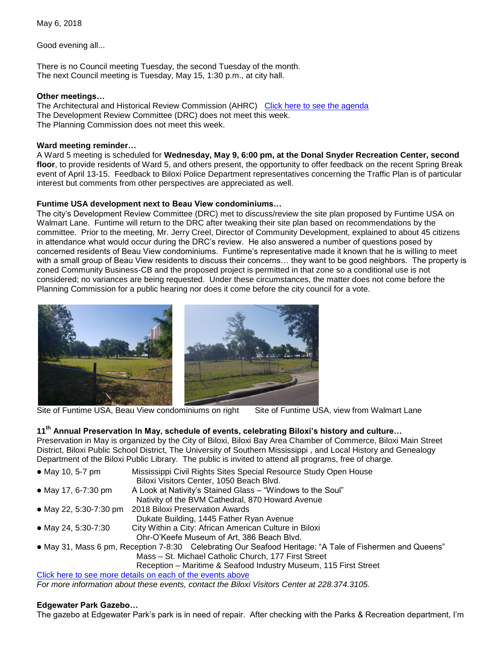May 6, 2018

Good evening all...

There is no Council meeting Tuesday, the second Tuesday of the month. The next Council meeting is Tuesday, May 15, 1:30 p.m., at city hall.

# **Other meetings…**

The Architectural and Historical Review Commission (AHRC) [Click here to see the agenda](https://www.biloxi.ms.us/agendas/AHRC/2018/AHRC-2018-05-10.pdf) The Development Review Committee (DRC) does not meet this week. The Planning Commission does not meet this week.

# **Ward meeting reminder…**

A Ward 5 meeting is scheduled for **Wednesday, May 9, 6:00 pm, at the Donal Snyder Recreation Center, second floor**, to provide residents of Ward 5, and others present, the opportunity to offer feedback on the recent Spring Break event of April 13-15. Feedback to Biloxi Police Department representatives concerning the Traffic Plan is of particular interest but comments from other perspectives are appreciated as well.

# **Funtime USA development next to Beau View condominiums…**

The city's Development Review Committee (DRC) met to discuss/review the site plan proposed by Funtime USA on Walmart Lane. Funtime will return to the DRC after tweaking their site plan based on recommendations by the committee. Prior to the meeting, Mr. Jerry Creel, Director of Community Development, explained to about 45 citizens in attendance what would occur during the DRC's review. He also answered a number of questions posed by concerned residents of Beau View condominiums. Funtime's representative made it known that he is willing to meet with a small group of Beau View residents to discuss their concerns… they want to be good neighbors. The property is zoned Community Business-CB and the proposed project is permitted in that zone so a conditional use is not considered; no variances are being requested. Under these circumstances, the matter does not come before the Planning Commission for a public hearing nor does it come before the city council for a vote.



Site of Funtime USA, Beau View condominiums on right Site of Funtime USA, view from Walmart Lane

# **11th Annual Preservation In May, schedule of events, celebrating Biloxi's history and culture…**

Preservation in May is organized by the City of Biloxi, Biloxi Bay Area Chamber of Commerce, Biloxi Main Street District, Biloxi Public School District, The University of Southern Mississippi , and Local History and Genealogy Department of the Biloxi Public Library. The public is invited to attend all programs, free of charge.

| • May 10, 5-7 pm       | Mississippi Civil Rights Sites Special Resource Study Open House                                         |
|------------------------|----------------------------------------------------------------------------------------------------------|
|                        | Biloxi Visitors Center, 1050 Beach Blvd.                                                                 |
| • May 17, 6-7:30 pm    | A Look at Nativity's Stained Glass - "Windows to the Soul"                                               |
|                        | Nativity of the BVM Cathedral, 870 Howard Avenue                                                         |
| • May 22, 5:30-7:30 pm | 2018 Biloxi Preservation Awards                                                                          |
|                        | Dukate Building, 1445 Father Ryan Avenue                                                                 |
| • May 24, 5:30-7:30    | City Within a City: African American Culture in Biloxi                                                   |
|                        | Ohr-O'Keefe Museum of Art, 386 Beach Blvd.                                                               |
|                        | • May 31, Mass 6 pm, Reception 7-8:30 Celebrating Our Seafood Heritage: "A Tale of Fishermen and Queens" |
|                        | Mass - St. Michael Catholic Church, 177 First Street                                                     |

Reception – Maritime & Seafood Industry Museum, 115 First Street

[Click here to see more details on each of the events above](https://www.biloxi.ms.us/preservation-series-begins-thursday/) *For more information about these events, contact the Biloxi Visitors Center at 228.374.3105.*

# **Edgewater Park Gazebo…**

The gazebo at Edgewater Park's park is in need of repair. After checking with the Parks & Recreation department, I'm